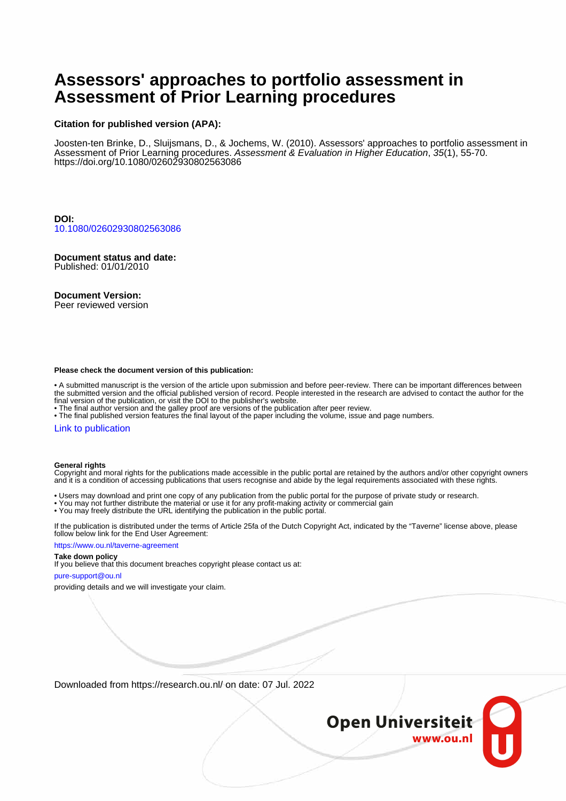# **Assessors' approaches to portfolio assessment in Assessment of Prior Learning procedures**

# **Citation for published version (APA):**

Joosten-ten Brinke, D., Sluijsmans, D., & Jochems, W. (2010). Assessors' approaches to portfolio assessment in Assessment of Prior Learning procedures. Assessment & Evaluation in Higher Education, 35(1), 55-70. <https://doi.org/10.1080/02602930802563086>

**DOI:** [10.1080/02602930802563086](https://doi.org/10.1080/02602930802563086)

**Document status and date:** Published: 01/01/2010

# **Document Version:**

Peer reviewed version

#### **Please check the document version of this publication:**

• A submitted manuscript is the version of the article upon submission and before peer-review. There can be important differences between the submitted version and the official published version of record. People interested in the research are advised to contact the author for the final version of the publication, or visit the DOI to the publisher's website.

• The final author version and the galley proof are versions of the publication after peer review.

• The final published version features the final layout of the paper including the volume, issue and page numbers.

#### [Link to publication](https://research.ou.nl/en/publications/c3dd5c2c-b9ba-493f-baba-12ff6a3abf9c)

#### **General rights**

Copyright and moral rights for the publications made accessible in the public portal are retained by the authors and/or other copyright owners and it is a condition of accessing publications that users recognise and abide by the legal requirements associated with these rights.

- Users may download and print one copy of any publication from the public portal for the purpose of private study or research.
- You may not further distribute the material or use it for any profit-making activity or commercial gain
- You may freely distribute the URL identifying the publication in the public portal.

If the publication is distributed under the terms of Article 25fa of the Dutch Copyright Act, indicated by the "Taverne" license above, please follow below link for the End User Agreement:

#### https://www.ou.nl/taverne-agreement

# **Take down policy**

If you believe that this document breaches copyright please contact us at:

#### pure-support@ou.nl

providing details and we will investigate your claim.

Downloaded from https://research.ou.nl/ on date: 07 Jul. 2022

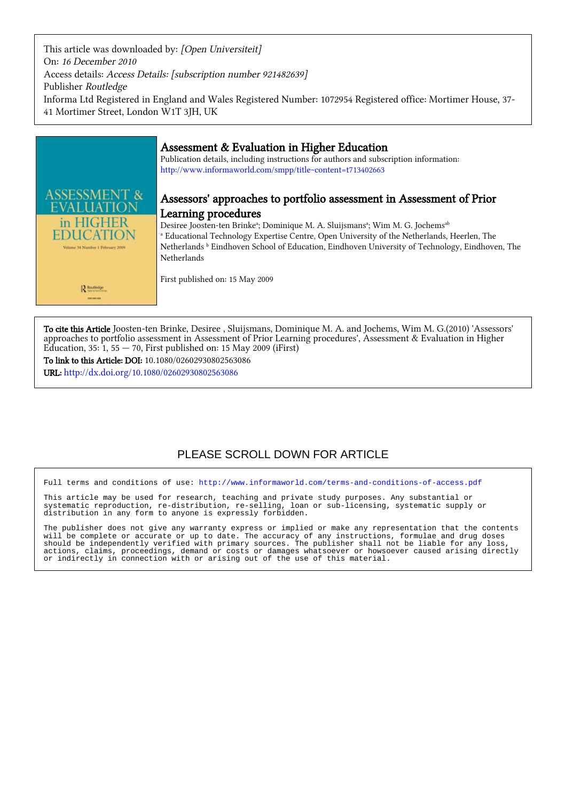This article was downloaded by: [Open Universiteit] On: 16 December 2010 Access details: Access Details: [subscription number 921482639] Publisher Routledge Informa Ltd Registered in England and Wales Registered Number: 1072954 Registered office: Mortimer House, 37- 41 Mortimer Street, London W1T 3JH, UK



# Assessment & Evaluation in Higher Education

Publication details, including instructions for authors and subscription information: <http://www.informaworld.com/smpp/title~content=t713402663>

# Assessors' approaches to portfolio assessment in Assessment of Prior Learning procedures

Desiree Joosten-ten Brinkeª; Dominique M. A. Sluijsmansª; Wim M. G. Jochems<sup>ab</sup> a Educational Technology Expertise Centre, Open University of the Netherlands, Heerlen, The Netherlands **b** Eindhoven School of Education, Eindhoven University of Technology, Eindhoven, The Netherlands

First published on: 15 May 2009

To cite this Article Joosten-ten Brinke, Desiree , Sluijsmans, Dominique M. A. and Jochems, Wim M. G.(2010) 'Assessors' approaches to portfolio assessment in Assessment of Prior Learning procedures', Assessment & Evaluation in Higher Education, 35:  $1, 55 - 70$ , First published on: 15 May 2009 (iFirst)

To link to this Article: DOI: 10.1080/02602930802563086

URL: <http://dx.doi.org/10.1080/02602930802563086>

# PLEASE SCROLL DOWN FOR ARTICLE

Full terms and conditions of use:<http://www.informaworld.com/terms-and-conditions-of-access.pdf>

This article may be used for research, teaching and private study purposes. Any substantial or systematic reproduction, re-distribution, re-selling, loan or sub-licensing, systematic supply or distribution in any form to anyone is expressly forbidden.

The publisher does not give any warranty express or implied or make any representation that the contents will be complete or accurate or up to date. The accuracy of any instructions, formulae and drug doses should be independently verified with primary sources. The publisher shall not be liable for any loss, actions, claims, proceedings, demand or costs or damages whatsoever or howsoever caused arising directly or indirectly in connection with or arising out of the use of this material.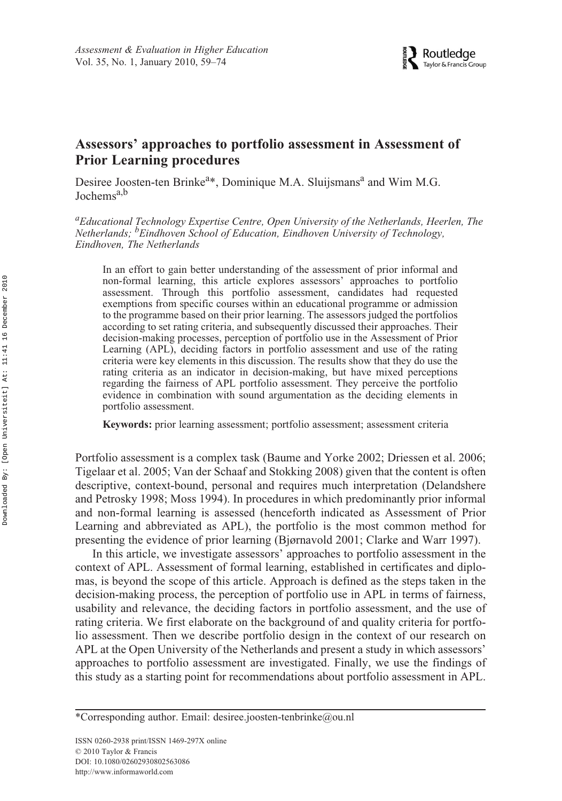# **Assessors' approaches to portfolio assessment in Assessment of Prior Learning procedures**

Desiree Joosten-ten Brinke<sup>a\*</sup>, Dominique M.A. Sluijsmans<sup>a</sup> and Wim M.G. Jochems<sup>a,b</sup>

*a Educational Technology Expertise Centre, Open University of the Netherlands, Heerlen, The Netherlands; <sup>b</sup> Eindhoven School of Education, Eindhoven University of Technology, Eindhoven, The Netherlands*

In an effort to gain better understanding of the assessment of prior informal and non-formal learning, this article explores assessors' approaches to portfolio assessment. Through this portfolio assessment, candidates had requested exemptions from specific courses within an educational programme or admission to the programme based on their prior learning. The assessors judged the portfolios according to set rating criteria, and subsequently discussed their approaches. Their decision-making processes, perception of portfolio use in the Assessment of Prior Learning (APL), deciding factors in portfolio assessment and use of the rating criteria were key elements in this discussion. The results show that they do use the rating criteria as an indicator in decision-making, but have mixed perceptions regarding the fairness of APL portfolio assessment. They perceive the portfolio evidence in combination with sound argumentation as the deciding elements in portfolio assessment.

**Keywords:** prior learning assessment; portfolio assessment; assessment criteria

Portfolio assessment is a complex task (Baume and Yorke 2002; Driessen et al. 2006; Tigelaar et al. 2005; Van der Schaaf and Stokking 2008) given that the content is often descriptive, context-bound, personal and requires much interpretation (Delandshere and Petrosky 1998; Moss 1994). In procedures in which predominantly prior informal and non-formal learning is assessed (henceforth indicated as Assessment of Prior Learning and abbreviated as APL), the portfolio is the most common method for presenting the evidence of prior learning (Bjørnavold 2001; Clarke and Warr 1997).

In this article, we investigate assessors' approaches to portfolio assessment in the context of APL. Assessment of formal learning, established in certificates and diplomas, is beyond the scope of this article. Approach is defined as the steps taken in the decision-making process, the perception of portfolio use in APL in terms of fairness, usability and relevance, the deciding factors in portfolio assessment, and the use of rating criteria. We first elaborate on the background of and quality criteria for portfolio assessment. Then we describe portfolio design in the context of our research on APL at the Open University of the Netherlands and present a study in which assessors' approaches to portfolio assessment are investigated. Finally, we use the findings of this study as a starting point for recommendations about portfolio assessment in APL.

<sup>\*</sup>Corresponding author. Email: desiree.joosten-tenbrinke@ou.nl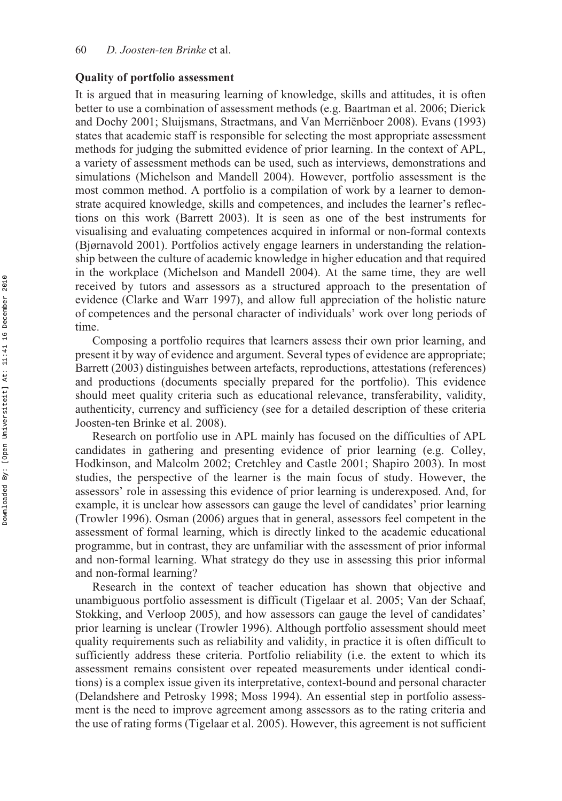### **Quality of portfolio assessment**

It is argued that in measuring learning of knowledge, skills and attitudes, it is often better to use a combination of assessment methods (e.g. Baartman et al. 2006; Dierick and Dochy 2001; Sluijsmans, Straetmans, and Van Merriënboer 2008). Evans (1993) states that academic staff is responsible for selecting the most appropriate assessment methods for judging the submitted evidence of prior learning. In the context of APL, a variety of assessment methods can be used, such as interviews, demonstrations and simulations (Michelson and Mandell 2004). However, portfolio assessment is the most common method. A portfolio is a compilation of work by a learner to demonstrate acquired knowledge, skills and competences, and includes the learner's reflections on this work (Barrett 2003). It is seen as one of the best instruments for visualising and evaluating competences acquired in informal or non-formal contexts (Bjørnavold 2001). Portfolios actively engage learners in understanding the relationship between the culture of academic knowledge in higher education and that required in the workplace (Michelson and Mandell 2004). At the same time, they are well received by tutors and assessors as a structured approach to the presentation of evidence (Clarke and Warr 1997), and allow full appreciation of the holistic nature of competences and the personal character of individuals' work over long periods of time.

Composing a portfolio requires that learners assess their own prior learning, and present it by way of evidence and argument. Several types of evidence are appropriate; Barrett (2003) distinguishes between artefacts, reproductions, attestations (references) and productions (documents specially prepared for the portfolio). This evidence should meet quality criteria such as educational relevance, transferability, validity, authenticity, currency and sufficiency (see for a detailed description of these criteria Joosten-ten Brinke et al. 2008).

Research on portfolio use in APL mainly has focused on the difficulties of APL candidates in gathering and presenting evidence of prior learning (e.g. Colley, Hodkinson, and Malcolm 2002; Cretchley and Castle 2001; Shapiro 2003). In most studies, the perspective of the learner is the main focus of study. However, the assessors' role in assessing this evidence of prior learning is underexposed. And, for example, it is unclear how assessors can gauge the level of candidates' prior learning (Trowler 1996). Osman (2006) argues that in general, assessors feel competent in the assessment of formal learning, which is directly linked to the academic educational programme, but in contrast, they are unfamiliar with the assessment of prior informal and non-formal learning. What strategy do they use in assessing this prior informal and non-formal learning?

Research in the context of teacher education has shown that objective and unambiguous portfolio assessment is difficult (Tigelaar et al. 2005; Van der Schaaf, Stokking, and Verloop 2005), and how assessors can gauge the level of candidates' prior learning is unclear (Trowler 1996). Although portfolio assessment should meet quality requirements such as reliability and validity, in practice it is often difficult to sufficiently address these criteria. Portfolio reliability (i.e. the extent to which its assessment remains consistent over repeated measurements under identical conditions) is a complex issue given its interpretative, context-bound and personal character (Delandshere and Petrosky 1998; Moss 1994). An essential step in portfolio assessment is the need to improve agreement among assessors as to the rating criteria and the use of rating forms (Tigelaar et al. 2005). However, this agreement is not sufficient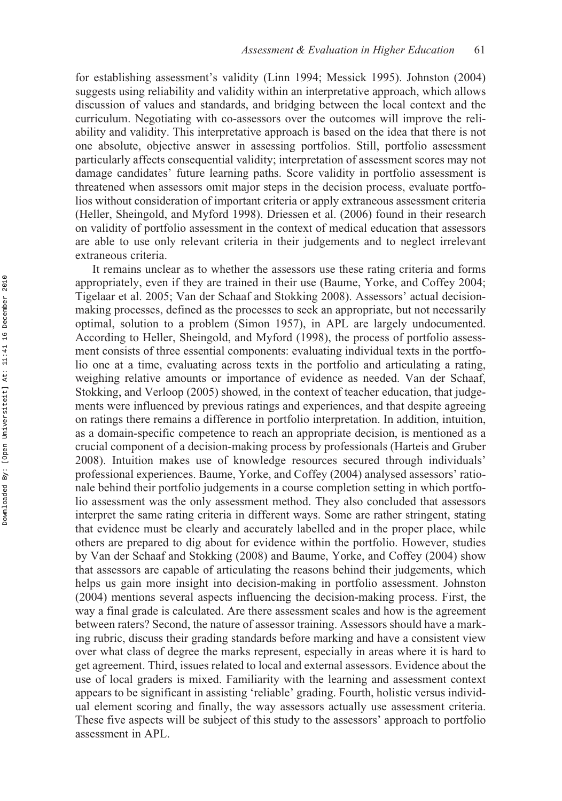for establishing assessment's validity (Linn 1994; Messick 1995). Johnston (2004) suggests using reliability and validity within an interpretative approach, which allows discussion of values and standards, and bridging between the local context and the curriculum. Negotiating with co-assessors over the outcomes will improve the reliability and validity. This interpretative approach is based on the idea that there is not one absolute, objective answer in assessing portfolios. Still, portfolio assessment particularly affects consequential validity; interpretation of assessment scores may not damage candidates' future learning paths. Score validity in portfolio assessment is threatened when assessors omit major steps in the decision process, evaluate portfolios without consideration of important criteria or apply extraneous assessment criteria (Heller, Sheingold, and Myford 1998). Driessen et al. (2006) found in their research on validity of portfolio assessment in the context of medical education that assessors are able to use only relevant criteria in their judgements and to neglect irrelevant extraneous criteria.

It remains unclear as to whether the assessors use these rating criteria and forms appropriately, even if they are trained in their use (Baume, Yorke, and Coffey 2004; Tigelaar et al. 2005; Van der Schaaf and Stokking 2008). Assessors' actual decisionmaking processes, defined as the processes to seek an appropriate, but not necessarily optimal, solution to a problem (Simon 1957), in APL are largely undocumented. According to Heller, Sheingold, and Myford (1998), the process of portfolio assessment consists of three essential components: evaluating individual texts in the portfolio one at a time, evaluating across texts in the portfolio and articulating a rating, weighing relative amounts or importance of evidence as needed. Van der Schaaf, Stokking, and Verloop (2005) showed, in the context of teacher education, that judgements were influenced by previous ratings and experiences, and that despite agreeing on ratings there remains a difference in portfolio interpretation. In addition, intuition, as a domain-specific competence to reach an appropriate decision, is mentioned as a crucial component of a decision-making process by professionals (Harteis and Gruber 2008). Intuition makes use of knowledge resources secured through individuals' professional experiences. Baume, Yorke, and Coffey (2004) analysed assessors' rationale behind their portfolio judgements in a course completion setting in which portfolio assessment was the only assessment method. They also concluded that assessors interpret the same rating criteria in different ways. Some are rather stringent, stating that evidence must be clearly and accurately labelled and in the proper place, while others are prepared to dig about for evidence within the portfolio. However, studies by Van der Schaaf and Stokking (2008) and Baume, Yorke, and Coffey (2004) show that assessors are capable of articulating the reasons behind their judgements, which helps us gain more insight into decision-making in portfolio assessment. Johnston (2004) mentions several aspects influencing the decision-making process. First, the way a final grade is calculated. Are there assessment scales and how is the agreement between raters? Second, the nature of assessor training. Assessors should have a marking rubric, discuss their grading standards before marking and have a consistent view over what class of degree the marks represent, especially in areas where it is hard to get agreement. Third, issues related to local and external assessors. Evidence about the use of local graders is mixed. Familiarity with the learning and assessment context appears to be significant in assisting 'reliable' grading. Fourth, holistic versus individual element scoring and finally, the way assessors actually use assessment criteria. These five aspects will be subject of this study to the assessors' approach to portfolio assessment in APL.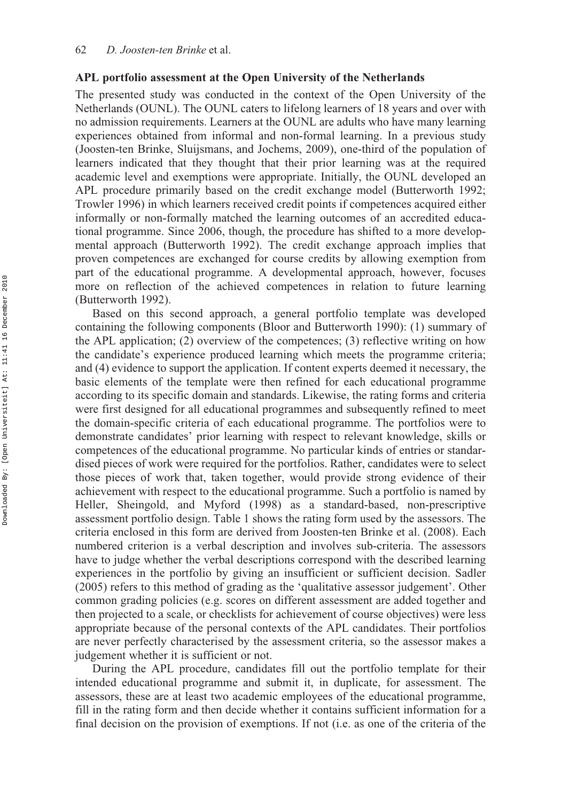### **APL portfolio assessment at the Open University of the Netherlands**

The presented study was conducted in the context of the Open University of the Netherlands (OUNL). The OUNL caters to lifelong learners of 18 years and over with no admission requirements. Learners at the OUNL are adults who have many learning experiences obtained from informal and non-formal learning. In a previous study (Joosten-ten Brinke, Sluijsmans, and Jochems, 2009), one-third of the population of learners indicated that they thought that their prior learning was at the required academic level and exemptions were appropriate. Initially, the OUNL developed an APL procedure primarily based on the credit exchange model (Butterworth 1992; Trowler 1996) in which learners received credit points if competences acquired either informally or non-formally matched the learning outcomes of an accredited educational programme. Since 2006, though, the procedure has shifted to a more developmental approach (Butterworth 1992). The credit exchange approach implies that proven competences are exchanged for course credits by allowing exemption from part of the educational programme. A developmental approach, however, focuses more on reflection of the achieved competences in relation to future learning (Butterworth 1992).

Based on this second approach, a general portfolio template was developed containing the following components (Bloor and Butterworth 1990): (1) summary of the APL application; (2) overview of the competences; (3) reflective writing on how the candidate's experience produced learning which meets the programme criteria; and (4) evidence to support the application. If content experts deemed it necessary, the basic elements of the template were then refined for each educational programme according to its specific domain and standards. Likewise, the rating forms and criteria were first designed for all educational programmes and subsequently refined to meet the domain-specific criteria of each educational programme. The portfolios were to demonstrate candidates' prior learning with respect to relevant knowledge, skills or competences of the educational programme. No particular kinds of entries or standardised pieces of work were required for the portfolios. Rather, candidates were to select those pieces of work that, taken together, would provide strong evidence of their achievement with respect to the educational programme. Such a portfolio is named by Heller, Sheingold, and Myford (1998) as a standard-based, non-prescriptive assessment portfolio design. Table 1 shows the rating form used by the assessors. The criteria enclosed in this form are derived from Joosten-ten Brinke et al. (2008). Each numbered criterion is a verbal description and involves sub-criteria. The assessors have to judge whether the verbal descriptions correspond with the described learning experiences in the portfolio by giving an insufficient or sufficient decision. Sadler (2005) refers to this method of grading as the 'qualitative assessor judgement'. Other common grading policies (e.g. scores on different assessment are added together and then projected to a scale, or checklists for achievement of course objectives) were less appropriate because of the personal contexts of the APL candidates. Their portfolios are never perfectly characterised by the assessment criteria, so the assessor makes a judgement whether it is sufficient or not.

During the APL procedure, candidates fill out the portfolio template for their intended educational programme and submit it, in duplicate, for assessment. The assessors, these are at least two academic employees of the educational programme, fill in the rating form and then decide whether it contains sufficient information for a final decision on the provision of exemptions. If not (i.e. as one of the criteria of the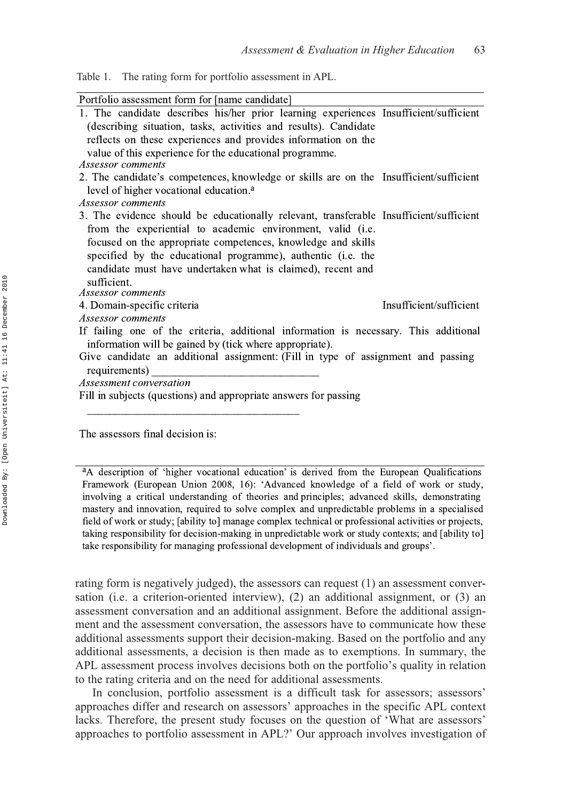| Table 1. |  |  |  | The rating form for portfolio assessment in APL. |  |
|----------|--|--|--|--------------------------------------------------|--|
|----------|--|--|--|--------------------------------------------------|--|

| Portfolio assessment form for [name candidate]                                         |
|----------------------------------------------------------------------------------------|
| 1. The candidate describes his/her prior learning experiences Insufficient/sufficient  |
| (describing situation, tasks, activities and results). Candidate                       |
| reflects on these experiences and provides information on the                          |
| value of this experience for the educational programme.                                |
| Assessor comments                                                                      |
| 2. The candidate's competences, knowledge or skills are on the Insufficient/sufficient |
| level of higher vocational education. <sup>a</sup>                                     |
| Assessor comments                                                                      |
| 3. The evidence should be educationally relevant, transferable Insufficient/sufficient |
| from the experiential to academic environment, valid (i.e.                             |
| focused on the appropriate competences, knowledge and skills                           |
| specified by the educational programme), authentic (i.e. the                           |
| candidate must have undertaken what is claimed), recent and                            |
| sufficient.                                                                            |
| Assessor comments                                                                      |
| Insufficient/sufficient<br>4. Domain-specific criteria                                 |
| Assessor comments                                                                      |
| If failing one of the criteria, additional information is necessary. This additional   |
| information will be gained by (tick where appropriate).                                |
| Give candidate an additional assignment: (Fill in type of assignment and passing       |
| requirements)                                                                          |
| Assessment conversation                                                                |
| Fill in subjects (questions) and appropriate answers for passing                       |
|                                                                                        |

The assessors final decision is:

<sup>a</sup>A description of 'higher vocational education' is derived from the European Qualifications Framework (European Union 2008, 16): 'Advanced knowledge of a field of work or study, involving a critical understanding of theories and principles; advanced skills, demonstrating mastery and innovation, required to solve complex and unpredictable problems in a specialised field of work or study; [ability to] manage complex technical or professional activities or projects, taking responsibility for decision-making in unpredictable work or study contexts; and [ability to] take responsibility for managing professional development of individuals and groups'.

rating form is negatively judged), the assessors can request (1) an assessment conversation (i.e. a criterion-oriented interview), (2) an additional assignment, or (3) an assessment conversation and an additional assignment. Before the additional assignment and the assessment conversation, the assessors have to communicate how these additional assessments support their decision-making. Based on the portfolio and any additional assessments, a decision is then made as to exemptions. In summary, the APL assessment process involves decisions both on the portfolio's quality in relation to the rating criteria and on the need for additional assessments.

In conclusion, portfolio assessment is a difficult task for assessors; assessors' approaches differ and research on assessors' approaches in the specific APL context lacks. Therefore, the present study focuses on the question of 'What are assessors' approaches to portfolio assessment in APL?' Our approach involves investigation of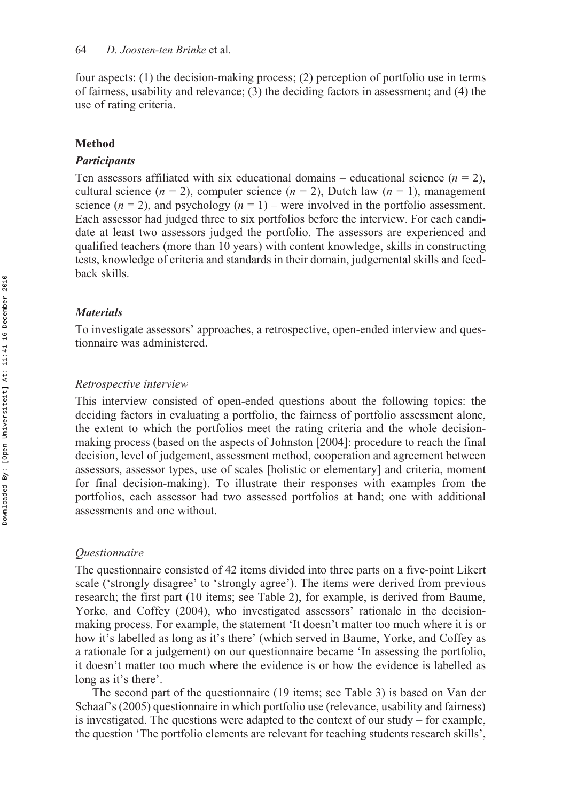four aspects: (1) the decision-making process; (2) perception of portfolio use in terms of fairness, usability and relevance; (3) the deciding factors in assessment; and (4) the use of rating criteria.

#### **Method**

#### *Participants*

Ten assessors affiliated with six educational domains – educational science  $(n = 2)$ , cultural science  $(n = 2)$ , computer science  $(n = 2)$ , Dutch law  $(n = 1)$ , management science  $(n = 2)$ , and psychology  $(n = 1)$  – were involved in the portfolio assessment. Each assessor had judged three to six portfolios before the interview. For each candidate at least two assessors judged the portfolio. The assessors are experienced and qualified teachers (more than 10 years) with content knowledge, skills in constructing tests, knowledge of criteria and standards in their domain, judgemental skills and feedback skills.

#### *Materials*

To investigate assessors' approaches, a retrospective, open-ended interview and questionnaire was administered.

#### *Retrospective interview*

This interview consisted of open-ended questions about the following topics: the deciding factors in evaluating a portfolio, the fairness of portfolio assessment alone, the extent to which the portfolios meet the rating criteria and the whole decisionmaking process (based on the aspects of Johnston [2004]: procedure to reach the final decision, level of judgement, assessment method, cooperation and agreement between assessors, assessor types, use of scales [holistic or elementary] and criteria, moment for final decision-making). To illustrate their responses with examples from the portfolios, each assessor had two assessed portfolios at hand; one with additional assessments and one without.

#### *Questionnaire*

The questionnaire consisted of 42 items divided into three parts on a five-point Likert scale ('strongly disagree' to 'strongly agree'). The items were derived from previous research; the first part (10 items; see Table 2), for example, is derived from Baume, Yorke, and Coffey (2004), who investigated assessors' rationale in the decisionmaking process. For example, the statement 'It doesn't matter too much where it is or how it's labelled as long as it's there' (which served in Baume, Yorke, and Coffey as a rationale for a judgement) on our questionnaire became 'In assessing the portfolio, it doesn't matter too much where the evidence is or how the evidence is labelled as long as it's there'.

The second part of the questionnaire (19 items; see Table 3) is based on Van der Schaaf's (2005) questionnaire in which portfolio use (relevance, usability and fairness) is investigated. The questions were adapted to the context of our study  $-$  for example, the question 'The portfolio elements are relevant for teaching students research skills',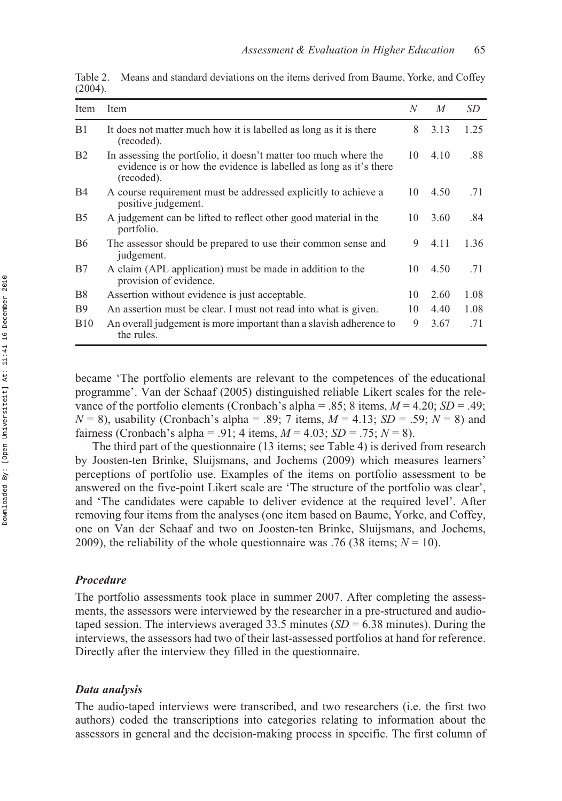| Item           | Item                                                                                                                                                | N  | M    | SD   |
|----------------|-----------------------------------------------------------------------------------------------------------------------------------------------------|----|------|------|
| B1             | It does not matter much how it is labelled as long as it is there<br>(recoded).                                                                     | 8  | 3.13 | 1.25 |
| <b>B2</b>      | In assessing the portfolio, it doesn't matter too much where the<br>evidence is or how the evidence is labelled as long as it's there<br>(recoded). | 10 | 4.10 | .88  |
| <b>B</b> 4     | A course requirement must be addressed explicitly to achieve a<br>positive judgement.                                                               | 10 | 4.50 | .71  |
| B <sub>5</sub> | A judgement can be lifted to reflect other good material in the<br>portfolio.                                                                       | 10 | 3.60 | .84  |
| <b>B6</b>      | The assessor should be prepared to use their common sense and<br>judgement.                                                                         | 9  | 4.11 | 1.36 |
| B7             | A claim (APL application) must be made in addition to the<br>provision of evidence.                                                                 | 10 | 4.50 | .71  |
| B <sub>8</sub> | Assertion without evidence is just acceptable.                                                                                                      | 10 | 2.60 | 1.08 |
| <b>B</b> 9     | An assertion must be clear. I must not read into what is given.                                                                                     | 10 | 4.40 | 1.08 |
| <b>B</b> 10    | An overall judgement is more important than a slavish adherence to<br>the rules.                                                                    | 9  | 3.67 | .71  |

Table 2. Means and standard deviations on the items derived from Baume, Yorke, and Coffey (2004).

became 'The portfolio elements are relevant to the competences of the educational programme'. Van der Schaaf (2005) distinguished reliable Likert scales for the relevance of the portfolio elements (Cronbach's alpha = .85; 8 items,  $M = 4.20$ ;  $SD = .49$ ;  $N = 8$ ), usability (Cronbach's alpha = .89; 7 items,  $M = 4.13$ ;  $SD = .59$ ;  $N = 8$ ) and fairness (Cronbach's alpha = .91; 4 items, *M* = 4.03; *SD* = .75; *N* = 8).

The third part of the questionnaire (13 items; see Table 4) is derived from research by Joosten-ten Brinke, Sluijsmans, and Jochems (2009) which measures learners' perceptions of portfolio use. Examples of the items on portfolio assessment to be answered on the five-point Likert scale are 'The structure of the portfolio was clear', and 'The candidates were capable to deliver evidence at the required level'. After removing four items from the analyses (one item based on Baume, Yorke, and Coffey, one on Van der Schaaf and two on Joosten-ten Brinke, Sluijsmans, and Jochems, 2009), the reliability of the whole questionnaire was .76 (38 items;  $N = 10$ ).

## *Procedure*

The portfolio assessments took place in summer 2007. After completing the assessments, the assessors were interviewed by the researcher in a pre-structured and audiotaped session. The interviews averaged 33.5 minutes (*SD* = 6.38 minutes). During the interviews, the assessors had two of their last-assessed portfolios at hand for reference. Directly after the interview they filled in the questionnaire.

#### *Data analysis*

The audio-taped interviews were transcribed, and two researchers (i.e. the first two authors) coded the transcriptions into categories relating to information about the assessors in general and the decision-making process in specific. The first column of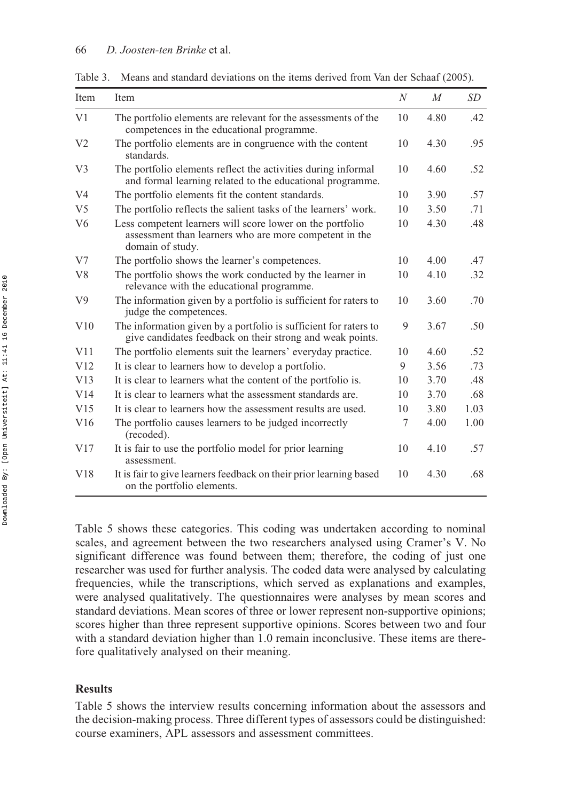| Item           | Item                                                                                                                                    | $\boldsymbol{N}$ | M    | SD   |
|----------------|-----------------------------------------------------------------------------------------------------------------------------------------|------------------|------|------|
| V <sub>1</sub> | The portfolio elements are relevant for the assessments of the<br>competences in the educational programme.                             | 10               | 4.80 | .42  |
| V <sub>2</sub> | The portfolio elements are in congruence with the content<br>standards.                                                                 | 10               | 4.30 | .95  |
| V <sub>3</sub> | The portfolio elements reflect the activities during informal<br>and formal learning related to the educational programme.              | 10               | 4.60 | .52  |
| V <sub>4</sub> | The portfolio elements fit the content standards.                                                                                       | 10               | 3.90 | .57  |
| V <sub>5</sub> | The portfolio reflects the salient tasks of the learners' work.                                                                         | 10               | 3.50 | .71  |
| V6             | Less competent learners will score lower on the portfolio<br>assessment than learners who are more competent in the<br>domain of study. | 10               | 4.30 | .48  |
| V <sub>7</sub> | The portfolio shows the learner's competences.                                                                                          | 10               | 4.00 | .47  |
| V8             | The portfolio shows the work conducted by the learner in<br>relevance with the educational programme.                                   | 10               | 4.10 | .32  |
| V <sub>9</sub> | The information given by a portfolio is sufficient for raters to<br>judge the competences.                                              | 10               | 3.60 | .70  |
| V10            | The information given by a portfolio is sufficient for raters to<br>give candidates feedback on their strong and weak points.           | 9                | 3.67 | .50  |
| V11            | The portfolio elements suit the learners' everyday practice.                                                                            | 10               | 4.60 | .52  |
| V12            | It is clear to learners how to develop a portfolio.                                                                                     | 9                | 3.56 | .73  |
| V13            | It is clear to learners what the content of the portfolio is.                                                                           | 10               | 3.70 | .48  |
| V14            | It is clear to learners what the assessment standards are.                                                                              | 10               | 3.70 | .68  |
| V15            | It is clear to learners how the assessment results are used.                                                                            | 10               | 3.80 | 1.03 |
| V16            | The portfolio causes learners to be judged incorrectly<br>(recoded).                                                                    | 7                | 4.00 | 1.00 |
| V17            | It is fair to use the portfolio model for prior learning<br>assessment.                                                                 | 10               | 4.10 | .57  |
| V18            | It is fair to give learners feedback on their prior learning based<br>on the portfolio elements.                                        | 10               | 4.30 | .68  |

Table 3. Means and standard deviations on the items derived from Van der Schaaf (2005).

Table 5 shows these categories. This coding was undertaken according to nominal scales, and agreement between the two researchers analysed using Cramer's V. No significant difference was found between them; therefore, the coding of just one researcher was used for further analysis. The coded data were analysed by calculating frequencies, while the transcriptions, which served as explanations and examples, were analysed qualitatively. The questionnaires were analyses by mean scores and standard deviations. Mean scores of three or lower represent non-supportive opinions; scores higher than three represent supportive opinions. Scores between two and four with a standard deviation higher than 1.0 remain inconclusive. These items are therefore qualitatively analysed on their meaning.

## **Results**

Table 5 shows the interview results concerning information about the assessors and the decision-making process. Three different types of assessors could be distinguished: course examiners, APL assessors and assessment committees.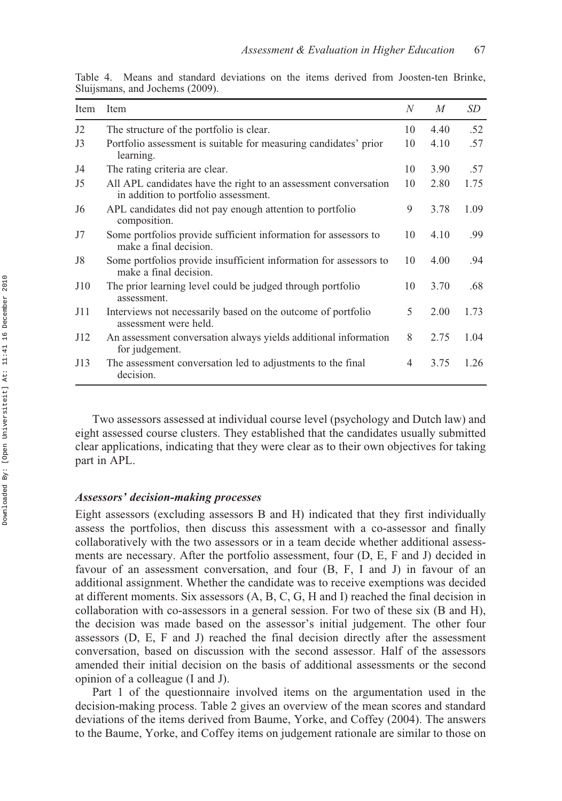| Item           | Item                                                                                                    | N  | M    | SD   |
|----------------|---------------------------------------------------------------------------------------------------------|----|------|------|
| J2             | The structure of the portfolio is clear.                                                                | 10 | 4.40 | .52  |
| J3             | Portfolio assessment is suitable for measuring candidates' prior<br>learning.                           | 10 | 4.10 | .57  |
| J4             | The rating criteria are clear.                                                                          | 10 | 3.90 | .57  |
| J5             | All APL candidates have the right to an assessment conversation<br>in addition to portfolio assessment. | 10 | 2.80 | 1.75 |
| J <sub>6</sub> | APL candidates did not pay enough attention to portfolio<br>composition.                                | 9  | 3.78 | 1.09 |
| J7             | Some portfolios provide sufficient information for assessors to<br>make a final decision.               | 10 | 4.10 | .99  |
| J8             | Some portfolios provide insufficient information for assessors to<br>make a final decision.             | 10 | 4.00 | .94  |
| J10            | The prior learning level could be judged through portfolio<br>assessment.                               | 10 | 3.70 | .68  |
| J11            | Interviews not necessarily based on the outcome of portfolio<br>assessment were held.                   | 5  | 2.00 | 1.73 |
| J12            | An assessment conversation always yields additional information<br>for judgement.                       | 8  | 2.75 | 1.04 |
| J13            | The assessment conversation led to adjustments to the final<br>decision.                                | 4  | 3.75 | 1.26 |

Table 4. Means and standard deviations on the items derived from Joosten-ten Brinke, Sluijsmans, and Jochems (2009).

Two assessors assessed at individual course level (psychology and Dutch law) and eight assessed course clusters. They established that the candidates usually submitted clear applications, indicating that they were clear as to their own objectives for taking part in APL.

#### *Assessors' decision-making processes*

Eight assessors (excluding assessors B and H) indicated that they first individually assess the portfolios, then discuss this assessment with a co-assessor and finally collaboratively with the two assessors or in a team decide whether additional assessments are necessary. After the portfolio assessment, four (D, E, F and J) decided in favour of an assessment conversation, and four (B, F, I and J) in favour of an additional assignment. Whether the candidate was to receive exemptions was decided at different moments. Six assessors (A, B, C, G, H and I) reached the final decision in collaboration with co-assessors in a general session. For two of these six (B and H), the decision was made based on the assessor's initial judgement. The other four assessors (D, E, F and J) reached the final decision directly after the assessment conversation, based on discussion with the second assessor. Half of the assessors amended their initial decision on the basis of additional assessments or the second opinion of a colleague (I and J).

Part 1 of the questionnaire involved items on the argumentation used in the decision-making process. Table 2 gives an overview of the mean scores and standard deviations of the items derived from Baume, Yorke, and Coffey (2004). The answers to the Baume, Yorke, and Coffey items on judgement rationale are similar to those on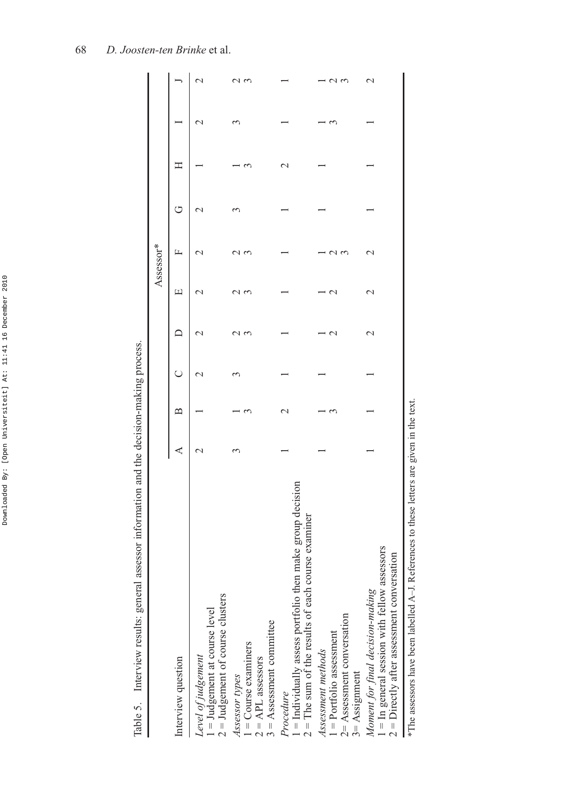| l<br>5<br>č<br>i                                                    |
|---------------------------------------------------------------------|
|                                                                     |
| ï                                                                   |
| ۱<br>ï<br>۱<br>ł                                                    |
| $\ddot{\dot{\ } }$                                                  |
| ֖֖֖֧ׅ֖֖֧֖֧֖֧֪֧֖֚֚֚֚֚֚֚֚֚֚֚֚֚֚֚֚֚֚֚֚֚֚֚֚֚֚֚֚֚֚֚֚֚֡֝֝֓֞֝֬֞֝֓֬<br>ׇ֚֕֡ |
| Ï<br>I<br>j<br>ï                                                    |
|                                                                     |
| 1<br>I                                                              |

| $\frac{1}{2}$<br>ł                                                                                              |
|-----------------------------------------------------------------------------------------------------------------|
| J                                                                                                               |
| 201001<br>ľ<br>ı<br>ĺ                                                                                           |
| $\frac{1}{2}$                                                                                                   |
| $+$<br>֖ׅ֖֪ׅ֚֚֚֚֚֚֚֬֝֬֝֬֝֝֬֝֝֬֝֬֝֬֝֬֝֬֝֬֝֬֝֬֝֬֝֬֝֬֝֬֝֬<br>i<br>l                                                |
| l<br>$\sim$ associated<br>I<br>l                                                                                |
| $\ddot{ }$<br>l                                                                                                 |
| l<br>$\overline{\phantom{a}}$<br>$\overline{a}$<br>$\overline{\phantom{a}}$<br>ł                                |
| $\ddot{\phantom{a}}$<br>)<br>ł<br>i                                                                             |
| ı<br>$\ddot{\phantom{a}}$<br>i<br>l<br>ł<br>֧֦֦֧֦֧֧֧֧֧֧֧֧֦֧֧֧֧֦֧֚֚֚֚֚֚֚֚֚֚֚֚֚֚֚֚֚֚֚֚֚֝֝֝֝֝֝֝֝֝֓֝֝֬֝֓֝֬֝֬֝֬<br>Ì |
| J<br>Ì<br>l<br>I                                                                                                |

| assessor information and the decision-making process.<br>Table 5. Interview results: general                                              |                    |   |                    |                    |                    |                    |                  |   |                 |                       |
|-------------------------------------------------------------------------------------------------------------------------------------------|--------------------|---|--------------------|--------------------|--------------------|--------------------|------------------|---|-----------------|-----------------------|
|                                                                                                                                           |                    |   |                    |                    |                    | Assessor*          |                  |   |                 |                       |
| Interview question                                                                                                                        | ⋖                  | m | ◡                  | ≏                  | щ                  | щ                  | ↺                | Ξ |                 |                       |
| $2 =$ Judgement of course clusters<br>$l =$ Judgement at course level<br>Level of judgement                                               | $\scriptstyle\sim$ |   | $\scriptstyle\sim$ | $\scriptstyle\sim$ | $\scriptstyle\sim$ | $\scriptstyle\sim$ | $\mathrel{\sim}$ |   | $\mathbf{\sim}$ | $\mathcal{C}$         |
| $3 =$ Assessment committee<br>$1 =$ Course examiners<br>$2 = APL$ assessors<br>Assessor types                                             |                    |   | 3                  | $\epsilon$<br>1    | 1 W                | $\epsilon$         | ω                |   |                 | $\mathfrak{c}$        |
| <i>Procedure</i><br>$1 =$ Individually assess portfolio then make group decision<br>$2 =$ The sum of the results of each course examiner  |                    |   |                    |                    |                    |                    |                  |   |                 |                       |
| $2$ = Assessment conversation<br>1 = Portfolio assessment<br>Assessment methods<br>$3 =$ Assignment                                       |                    |   |                    | $\mathbf{\sim}$    | $\mathrel{\sim}$   | J                  |                  |   |                 | $\tilde{\phantom{0}}$ |
| $1 = \text{In general session with fellow assessors}$<br>$2$ = Directly after assessment conversation<br>Moment for final decision-making |                    |   |                    | $\mathrel{\sim}$   | $\mathrel{\sim}$   | $\mathrel{\sim}$   |                  |   |                 |                       |

\*The assessors have been labelled A-J. References to these letters are given in the text. \*The assessors have been labelled A–J. References to these letters are given in the text.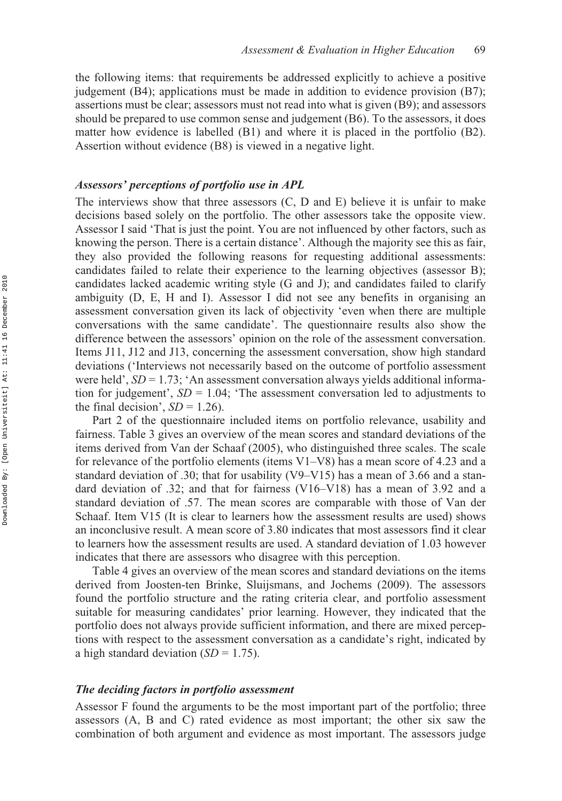the following items: that requirements be addressed explicitly to achieve a positive judgement  $(B4)$ ; applications must be made in addition to evidence provision  $(B7)$ ; assertions must be clear; assessors must not read into what is given (B9); and assessors should be prepared to use common sense and judgement (B6). To the assessors, it does matter how evidence is labelled (B1) and where it is placed in the portfolio (B2). Assertion without evidence (B8) is viewed in a negative light.

### *Assessors' perceptions of portfolio use in APL*

The interviews show that three assessors (C, D and E) believe it is unfair to make decisions based solely on the portfolio. The other assessors take the opposite view. Assessor I said 'That is just the point. You are not influenced by other factors, such as knowing the person. There is a certain distance'. Although the majority see this as fair, they also provided the following reasons for requesting additional assessments: candidates failed to relate their experience to the learning objectives (assessor B); candidates lacked academic writing style (G and J); and candidates failed to clarify ambiguity (D, E, H and I). Assessor I did not see any benefits in organising an assessment conversation given its lack of objectivity 'even when there are multiple conversations with the same candidate'. The questionnaire results also show the difference between the assessors' opinion on the role of the assessment conversation. Items J11, J12 and J13, concerning the assessment conversation, show high standard deviations ('Interviews not necessarily based on the outcome of portfolio assessment were held',  $SD = 1.73$ ; 'An assessment conversation always yields additional information for judgement',  $SD = 1.04$ ; 'The assessment conversation led to adjustments to the final decision',  $SD = 1.26$ ).

Part 2 of the questionnaire included items on portfolio relevance, usability and fairness. Table 3 gives an overview of the mean scores and standard deviations of the items derived from Van der Schaaf (2005), who distinguished three scales. The scale for relevance of the portfolio elements (items V1–V8) has a mean score of 4.23 and a standard deviation of .30; that for usability (V9–V15) has a mean of 3.66 and a standard deviation of .32; and that for fairness (V16–V18) has a mean of 3.92 and a standard deviation of .57. The mean scores are comparable with those of Van der Schaaf. Item V15 (It is clear to learners how the assessment results are used) shows an inconclusive result. A mean score of 3.80 indicates that most assessors find it clear to learners how the assessment results are used. A standard deviation of 1.03 however indicates that there are assessors who disagree with this perception.

Table 4 gives an overview of the mean scores and standard deviations on the items derived from Joosten-ten Brinke, Sluijsmans, and Jochems (2009). The assessors found the portfolio structure and the rating criteria clear, and portfolio assessment suitable for measuring candidates' prior learning. However, they indicated that the portfolio does not always provide sufficient information, and there are mixed perceptions with respect to the assessment conversation as a candidate's right, indicated by a high standard deviation (*SD* = 1.75).

#### *The deciding factors in portfolio assessment*

Assessor F found the arguments to be the most important part of the portfolio; three assessors (A, B and C) rated evidence as most important; the other six saw the combination of both argument and evidence as most important. The assessors judge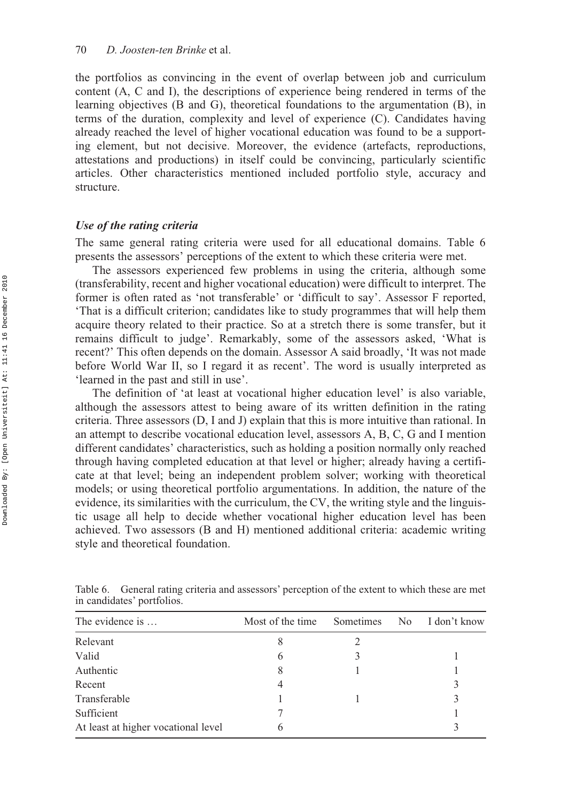the portfolios as convincing in the event of overlap between job and curriculum content (A, C and I), the descriptions of experience being rendered in terms of the learning objectives (B and G), theoretical foundations to the argumentation (B), in terms of the duration, complexity and level of experience (C). Candidates having already reached the level of higher vocational education was found to be a supporting element, but not decisive. Moreover, the evidence (artefacts, reproductions, attestations and productions) in itself could be convincing, particularly scientific articles. Other characteristics mentioned included portfolio style, accuracy and structure.

#### *Use of the rating criteria*

The same general rating criteria were used for all educational domains. Table 6 presents the assessors' perceptions of the extent to which these criteria were met.

The assessors experienced few problems in using the criteria, although some (transferability, recent and higher vocational education) were difficult to interpret. The former is often rated as 'not transferable' or 'difficult to say'. Assessor F reported, 'That is a difficult criterion; candidates like to study programmes that will help them acquire theory related to their practice. So at a stretch there is some transfer, but it remains difficult to judge'. Remarkably, some of the assessors asked, 'What is recent?' This often depends on the domain. Assessor A said broadly, 'It was not made before World War II, so I regard it as recent'. The word is usually interpreted as 'learned in the past and still in use'.

The definition of 'at least at vocational higher education level' is also variable, although the assessors attest to being aware of its written definition in the rating criteria. Three assessors (D, I and J) explain that this is more intuitive than rational. In an attempt to describe vocational education level, assessors A, B, C, G and I mention different candidates' characteristics, such as holding a position normally only reached through having completed education at that level or higher; already having a certificate at that level; being an independent problem solver; working with theoretical models; or using theoretical portfolio argumentations. In addition, the nature of the evidence, its similarities with the curriculum, the CV, the writing style and the linguistic usage all help to decide whether vocational higher education level has been achieved. Two assessors (B and H) mentioned additional criteria: academic writing style and theoretical foundation.

| The evidence is                     | Most of the time. | Sometimes | No. | I don't know |
|-------------------------------------|-------------------|-----------|-----|--------------|
| Relevant                            |                   |           |     |              |
| Valid                               | 6                 |           |     |              |
| Authentic                           |                   |           |     |              |
| Recent                              | 4                 |           |     | 3            |
| Transferable                        |                   |           |     | 3            |
| Sufficient                          |                   |           |     |              |
| At least at higher vocational level | 6                 |           |     |              |

Table 6. General rating criteria and assessors' perception of the extent to which these are met in candidates' portfolios.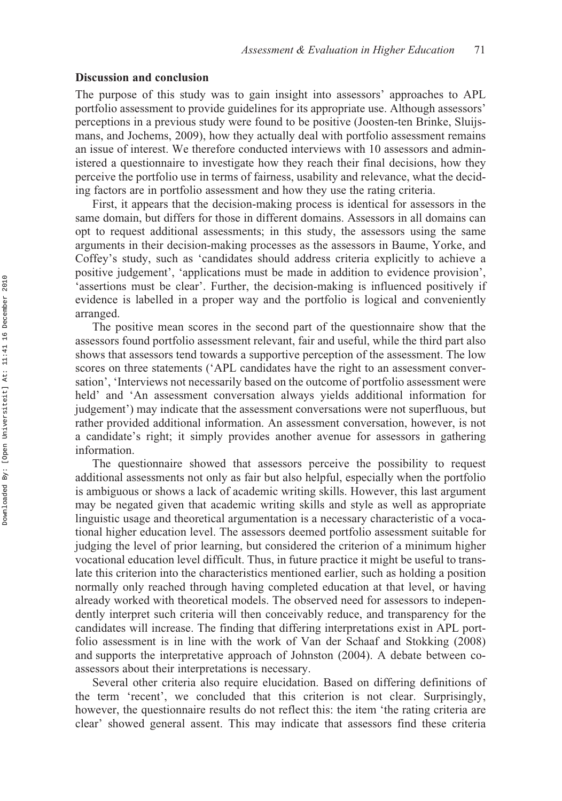### **Discussion and conclusion**

The purpose of this study was to gain insight into assessors' approaches to APL portfolio assessment to provide guidelines for its appropriate use. Although assessors' perceptions in a previous study were found to be positive (Joosten-ten Brinke, Sluijsmans, and Jochems, 2009), how they actually deal with portfolio assessment remains an issue of interest. We therefore conducted interviews with 10 assessors and administered a questionnaire to investigate how they reach their final decisions, how they perceive the portfolio use in terms of fairness, usability and relevance, what the deciding factors are in portfolio assessment and how they use the rating criteria.

First, it appears that the decision-making process is identical for assessors in the same domain, but differs for those in different domains. Assessors in all domains can opt to request additional assessments; in this study, the assessors using the same arguments in their decision-making processes as the assessors in Baume, Yorke, and Coffey's study, such as 'candidates should address criteria explicitly to achieve a positive judgement', 'applications must be made in addition to evidence provision', 'assertions must be clear'. Further, the decision-making is influenced positively if evidence is labelled in a proper way and the portfolio is logical and conveniently arranged.

The positive mean scores in the second part of the questionnaire show that the assessors found portfolio assessment relevant, fair and useful, while the third part also shows that assessors tend towards a supportive perception of the assessment. The low scores on three statements ('APL candidates have the right to an assessment conversation', 'Interviews not necessarily based on the outcome of portfolio assessment were held' and 'An assessment conversation always yields additional information for judgement') may indicate that the assessment conversations were not superfluous, but rather provided additional information. An assessment conversation, however, is not a candidate's right; it simply provides another avenue for assessors in gathering information.

The questionnaire showed that assessors perceive the possibility to request additional assessments not only as fair but also helpful, especially when the portfolio is ambiguous or shows a lack of academic writing skills. However, this last argument may be negated given that academic writing skills and style as well as appropriate linguistic usage and theoretical argumentation is a necessary characteristic of a vocational higher education level. The assessors deemed portfolio assessment suitable for judging the level of prior learning, but considered the criterion of a minimum higher vocational education level difficult. Thus, in future practice it might be useful to translate this criterion into the characteristics mentioned earlier, such as holding a position normally only reached through having completed education at that level, or having already worked with theoretical models. The observed need for assessors to independently interpret such criteria will then conceivably reduce, and transparency for the candidates will increase. The finding that differing interpretations exist in APL portfolio assessment is in line with the work of Van der Schaaf and Stokking (2008) and supports the interpretative approach of Johnston (2004). A debate between coassessors about their interpretations is necessary.

Several other criteria also require elucidation. Based on differing definitions of the term 'recent', we concluded that this criterion is not clear. Surprisingly, however, the questionnaire results do not reflect this: the item 'the rating criteria are clear' showed general assent. This may indicate that assessors find these criteria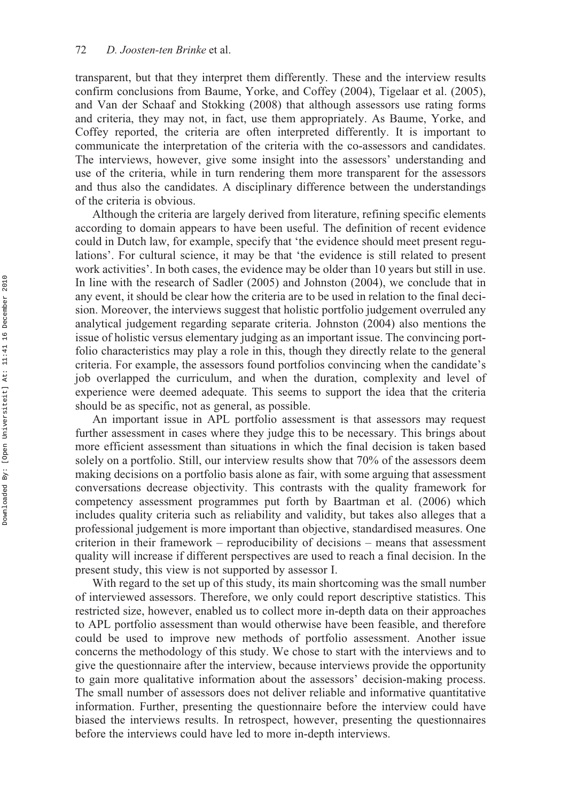transparent, but that they interpret them differently. These and the interview results confirm conclusions from Baume, Yorke, and Coffey (2004), Tigelaar et al. (2005), and Van der Schaaf and Stokking (2008) that although assessors use rating forms and criteria, they may not, in fact, use them appropriately. As Baume, Yorke, and Coffey reported, the criteria are often interpreted differently. It is important to communicate the interpretation of the criteria with the co-assessors and candidates. The interviews, however, give some insight into the assessors' understanding and use of the criteria, while in turn rendering them more transparent for the assessors and thus also the candidates. A disciplinary difference between the understandings of the criteria is obvious.

Although the criteria are largely derived from literature, refining specific elements according to domain appears to have been useful. The definition of recent evidence could in Dutch law, for example, specify that 'the evidence should meet present regulations'. For cultural science, it may be that 'the evidence is still related to present work activities'. In both cases, the evidence may be older than 10 years but still in use. In line with the research of Sadler (2005) and Johnston (2004), we conclude that in any event, it should be clear how the criteria are to be used in relation to the final decision. Moreover, the interviews suggest that holistic portfolio judgement overruled any analytical judgement regarding separate criteria. Johnston (2004) also mentions the issue of holistic versus elementary judging as an important issue. The convincing portfolio characteristics may play a role in this, though they directly relate to the general criteria. For example, the assessors found portfolios convincing when the candidate's job overlapped the curriculum, and when the duration, complexity and level of experience were deemed adequate. This seems to support the idea that the criteria should be as specific, not as general, as possible.

An important issue in APL portfolio assessment is that assessors may request further assessment in cases where they judge this to be necessary. This brings about more efficient assessment than situations in which the final decision is taken based solely on a portfolio. Still, our interview results show that 70% of the assessors deem making decisions on a portfolio basis alone as fair, with some arguing that assessment conversations decrease objectivity. This contrasts with the quality framework for competency assessment programmes put forth by Baartman et al. (2006) which includes quality criteria such as reliability and validity, but takes also alleges that a professional judgement is more important than objective, standardised measures. One criterion in their framework – reproducibility of decisions – means that assessment quality will increase if different perspectives are used to reach a final decision. In the present study, this view is not supported by assessor I.

With regard to the set up of this study, its main shortcoming was the small number of interviewed assessors. Therefore, we only could report descriptive statistics. This restricted size, however, enabled us to collect more in-depth data on their approaches to APL portfolio assessment than would otherwise have been feasible, and therefore could be used to improve new methods of portfolio assessment. Another issue concerns the methodology of this study. We chose to start with the interviews and to give the questionnaire after the interview, because interviews provide the opportunity to gain more qualitative information about the assessors' decision-making process. The small number of assessors does not deliver reliable and informative quantitative information. Further, presenting the questionnaire before the interview could have biased the interviews results. In retrospect, however, presenting the questionnaires before the interviews could have led to more in-depth interviews.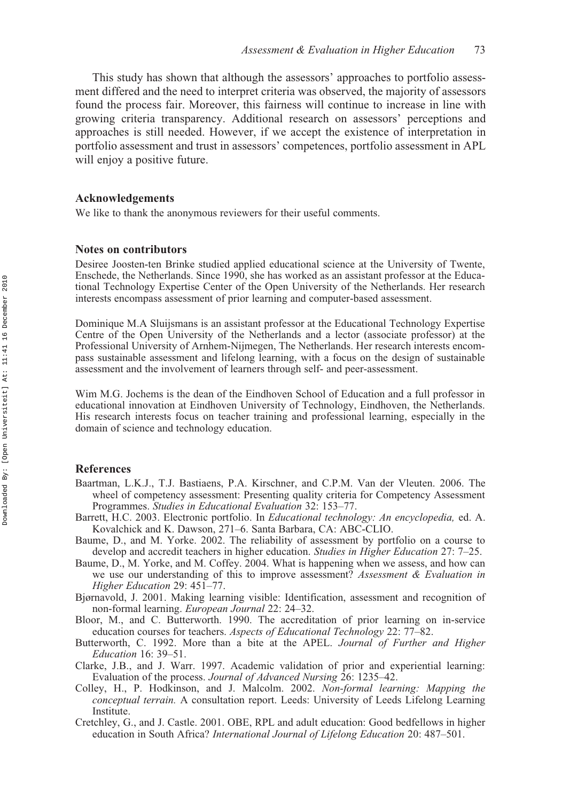This study has shown that although the assessors' approaches to portfolio assessment differed and the need to interpret criteria was observed, the majority of assessors found the process fair. Moreover, this fairness will continue to increase in line with growing criteria transparency. Additional research on assessors' perceptions and approaches is still needed. However, if we accept the existence of interpretation in portfolio assessment and trust in assessors' competences, portfolio assessment in APL will enjoy a positive future.

#### **Acknowledgements**

We like to thank the anonymous reviewers for their useful comments.

#### **Notes on contributors**

Desiree Joosten-ten Brinke studied applied educational science at the University of Twente, Enschede, the Netherlands. Since 1990, she has worked as an assistant professor at the Educational Technology Expertise Center of the Open University of the Netherlands. Her research interests encompass assessment of prior learning and computer-based assessment.

Dominique M.A Sluijsmans is an assistant professor at the Educational Technology Expertise Centre of the Open University of the Netherlands and a lector (associate professor) at the Professional University of Arnhem-Nijmegen, The Netherlands. Her research interests encompass sustainable assessment and lifelong learning, with a focus on the design of sustainable assessment and the involvement of learners through self- and peer-assessment.

Wim M.G. Jochems is the dean of the Eindhoven School of Education and a full professor in educational innovation at Eindhoven University of Technology, Eindhoven, the Netherlands. His research interests focus on teacher training and professional learning, especially in the domain of science and technology education.

#### **References**

- Baartman, L.K.J., T.J. Bastiaens, P.A. Kirschner, and C.P.M. Van der Vleuten. 2006. The wheel of competency assessment: Presenting quality criteria for Competency Assessment Programmes. *Studies in Educational Evaluation* 32: 153–77.
- Barrett, H.C. 2003. Electronic portfolio. In *Educational technology: An encyclopedia,* ed. A. Kovalchick and K. Dawson, 271–6. Santa Barbara, CA: ABC-CLIO.
- Baume, D., and M. Yorke. 2002. The reliability of assessment by portfolio on a course to develop and accredit teachers in higher education. *Studies in Higher Education* 27: 7–25.
- Baume, D., M. Yorke, and M. Coffey. 2004. What is happening when we assess, and how can we use our understanding of this to improve assessment? *Assessment & Evaluation in Higher Education* 29: 451–77.
- Bjørnavold, J. 2001. Making learning visible: Identification, assessment and recognition of non-formal learning. *European Journal* 22: 24–32.
- Bloor, M., and C. Butterworth. 1990. The accreditation of prior learning on in-service education courses for teachers. *Aspects of Educational Technology* 22: 77–82.
- Butterworth, C. 1992. More than a bite at the APEL. *Journal of Further and Higher Education* 16: 39–51.
- Clarke, J.B., and J. Warr. 1997. Academic validation of prior and experiential learning: Evaluation of the process. *Journal of Advanced Nursing* 26: 1235–42.
- Colley, H., P. Hodkinson, and J. Malcolm. 2002. *Non-formal learning: Mapping the conceptual terrain.* A consultation report. Leeds: University of Leeds Lifelong Learning Institute.
- Cretchley, G., and J. Castle. 2001. OBE, RPL and adult education: Good bedfellows in higher education in South Africa? *International Journal of Lifelong Education* 20: 487–501.